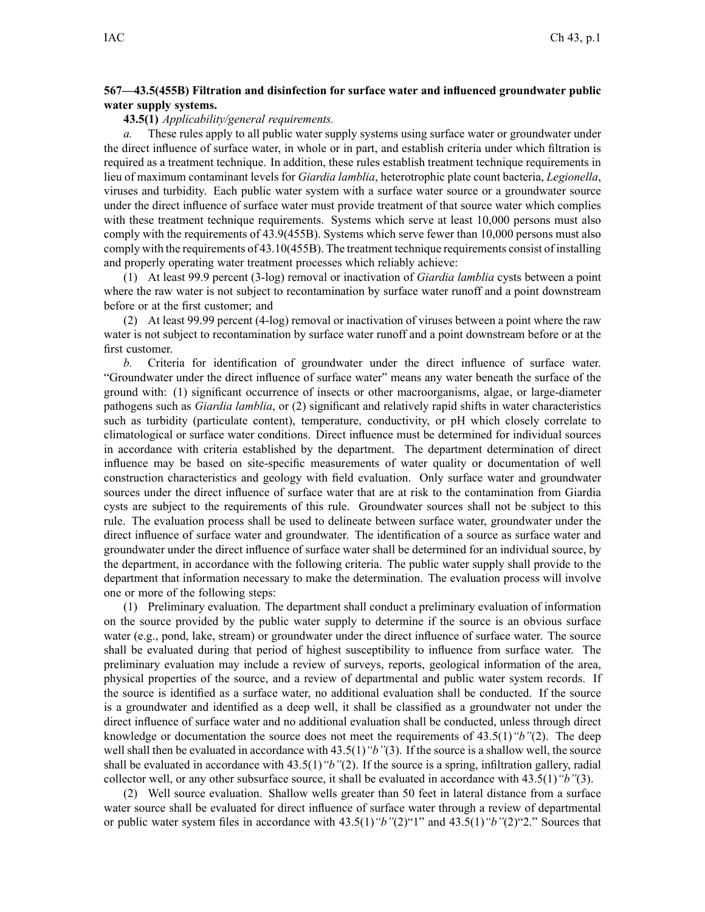## **567—43.5(455B) Filtration and disinfection for surface water and influenced groundwater public water supply systems.**

## **43.5(1)** *Applicability/general requirements.*

*a.* These rules apply to all public water supply systems using surface water or groundwater under the direct influence of surface water, in whole or in part, and establish criteria under which filtration is required as <sup>a</sup> treatment technique. In addition, these rules establish treatment technique requirements in lieu of maximum contaminant levels for *Giardia lamblia*, heterotrophic plate count bacteria, *Legionella*, viruses and turbidity. Each public water system with <sup>a</sup> surface water source or <sup>a</sup> groundwater source under the direct influence of surface water must provide treatment of that source water which complies with these treatment technique requirements. Systems which serve at least 10,000 persons must also comply with the requirements of 43.9(455B). Systems which serve fewer than 10,000 persons must also comply with the requirements of 43.10(455B). The treatment technique requirements consist of installing and properly operating water treatment processes which reliably achieve:

(1) At least 99.9 percen<sup>t</sup> (3-log) removal or inactivation of *Giardia lamblia* cysts between <sup>a</sup> point where the raw water is not subject to recontamination by surface water runoff and <sup>a</sup> point downstream before or at the first customer; and

(2) At least 99.99 percen<sup>t</sup> (4-log) removal or inactivation of viruses between <sup>a</sup> point where the raw water is not subject to recontamination by surface water runoff and <sup>a</sup> point downstream before or at the first customer.

*b.* Criteria for identification of groundwater under the direct influence of surface water. "Groundwater under the direct influence of surface water" means any water beneath the surface of the ground with: (1) significant occurrence of insects or other macroorganisms, algae, or large-diameter pathogens such as *Giardia lamblia*, or (2) significant and relatively rapid shifts in water characteristics such as turbidity (particulate content), temperature, conductivity, or pH which closely correlate to climatological or surface water conditions. Direct influence must be determined for individual sources in accordance with criteria established by the department. The department determination of direct influence may be based on site-specific measurements of water quality or documentation of well construction characteristics and geology with field evaluation. Only surface water and groundwater sources under the direct influence of surface water that are at risk to the contamination from Giardia cysts are subject to the requirements of this rule. Groundwater sources shall not be subject to this rule. The evaluation process shall be used to delineate between surface water, groundwater under the direct influence of surface water and groundwater. The identification of <sup>a</sup> source as surface water and groundwater under the direct influence of surface water shall be determined for an individual source, by the department, in accordance with the following criteria. The public water supply shall provide to the department that information necessary to make the determination. The evaluation process will involve one or more of the following steps:

(1) Preliminary evaluation. The department shall conduct <sup>a</sup> preliminary evaluation of information on the source provided by the public water supply to determine if the source is an obvious surface water (e.g., pond, lake, stream) or groundwater under the direct influence of surface water. The source shall be evaluated during that period of highest susceptibility to influence from surface water. The preliminary evaluation may include <sup>a</sup> review of surveys, reports, geological information of the area, physical properties of the source, and <sup>a</sup> review of departmental and public water system records. If the source is identified as <sup>a</sup> surface water, no additional evaluation shall be conducted. If the source is <sup>a</sup> groundwater and identified as <sup>a</sup> deep well, it shall be classified as <sup>a</sup> groundwater not under the direct influence of surface water and no additional evaluation shall be conducted, unless through direct knowledge or documentation the source does not meet the requirements of 43.5(1)*"b"*(2). The deep well shall then be evaluated in accordance with 43.5(1)<sup>"</sup>b"(3). If the source is a shallow well, the source shall be evaluated in accordance with 43.5(1)*"b"*(2). If the source is <sup>a</sup> spring, infiltration gallery, radial collector well, or any other subsurface source, it shall be evaluated in accordance with 43.5(1)*"b"*(3).

(2) Well source evaluation. Shallow wells greater than 50 feet in lateral distance from <sup>a</sup> surface water source shall be evaluated for direct influence of surface water through <sup>a</sup> review of departmental or public water system files in accordance with 43.5(1)*"b"*(2)"1" and 43.5(1)*"b"*(2)"2." Sources that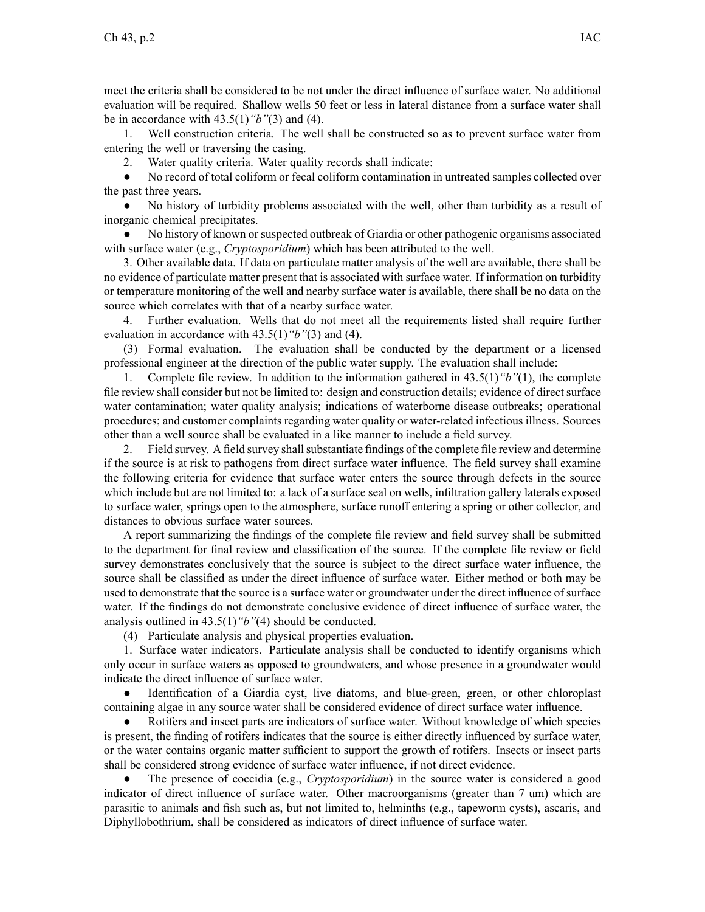meet the criteria shall be considered to be not under the direct influence of surface water. No additional evaluation will be required. Shallow wells 50 feet or less in lateral distance from <sup>a</sup> surface water shall be in accordance with 43.5(1)*"b"*(3) and (4).

1. Well construction criteria. The well shall be constructed so as to preven<sup>t</sup> surface water from entering the well or traversing the casing.

2. Water quality criteria. Water quality records shall indicate:

● No record of total coliform or fecal coliform contamination in untreated samples collected over the pas<sup>t</sup> three years.

● No history of turbidity problems associated with the well, other than turbidity as <sup>a</sup> result of inorganic chemical precipitates.

 $\bullet$  No history of known or suspected outbreak of Giardia or other pathogenic organisms associated with surface water (e.g., *Cryptosporidium*) which has been attributed to the well.

3. Other available data. If data on particulate matter analysis of the well are available, there shall be no evidence of particulate matter presen<sup>t</sup> that is associated with surface water. If information on turbidity or temperature monitoring of the well and nearby surface water is available, there shall be no data on the source which correlates with that of <sup>a</sup> nearby surface water.

4. Further evaluation. Wells that do not meet all the requirements listed shall require further evaluation in accordance with 43.5(1)*"b"*(3) and (4).

(3) Formal evaluation. The evaluation shall be conducted by the department or <sup>a</sup> licensed professional engineer at the direction of the public water supply. The evaluation shall include:

1. Complete file review. In addition to the information gathered in 43.5(1)*"b"*(1), the complete file review shall consider but not be limited to: design and construction details; evidence of direct surface water contamination; water quality analysis; indications of waterborne disease outbreaks; operational procedures; and customer complaints regarding water quality or water-related infectious illness. Sources other than <sup>a</sup> well source shall be evaluated in <sup>a</sup> like manner to include <sup>a</sup> field survey.

2. Field survey. A field survey shall substantiate findings of the complete file review and determine if the source is at risk to pathogens from direct surface water influence. The field survey shall examine the following criteria for evidence that surface water enters the source through defects in the source which include but are not limited to: <sup>a</sup> lack of <sup>a</sup> surface seal on wells, infiltration gallery laterals exposed to surface water, springs open to the atmosphere, surface runoff entering <sup>a</sup> spring or other collector, and distances to obvious surface water sources.

A repor<sup>t</sup> summarizing the findings of the complete file review and field survey shall be submitted to the department for final review and classification of the source. If the complete file review or field survey demonstrates conclusively that the source is subject to the direct surface water influence, the source shall be classified as under the direct influence of surface water. Either method or both may be used to demonstrate that the source is <sup>a</sup> surface water or groundwater under the direct influence ofsurface water. If the findings do not demonstrate conclusive evidence of direct influence of surface water, the analysis outlined in 43.5(1)*"b"*(4) should be conducted.

(4) Particulate analysis and physical properties evaluation.

1. Surface water indicators. Particulate analysis shall be conducted to identify organisms which only occur in surface waters as opposed to groundwaters, and whose presence in <sup>a</sup> groundwater would indicate the direct influence of surface water.

● Identification of <sup>a</sup> Giardia cyst, live diatoms, and blue-green, green, or other chloroplast containing algae in any source water shall be considered evidence of direct surface water influence.

● Rotifers and insect parts are indicators of surface water. Without knowledge of which species is present, the finding of rotifers indicates that the source is either directly influenced by surface water, or the water contains organic matter sufficient to suppor<sup>t</sup> the growth of rotifers. Insects or insect parts shall be considered strong evidence of surface water influence, if not direct evidence.

● The presence of coccidia (e.g., *Cryptosporidium*) in the source water is considered <sup>a</sup> good indicator of direct influence of surface water. Other macroorganisms (greater than 7 um) which are parasitic to animals and fish such as, but not limited to, helminths (e.g., tapeworm cysts), ascaris, and Diphyllobothrium, shall be considered as indicators of direct influence of surface water.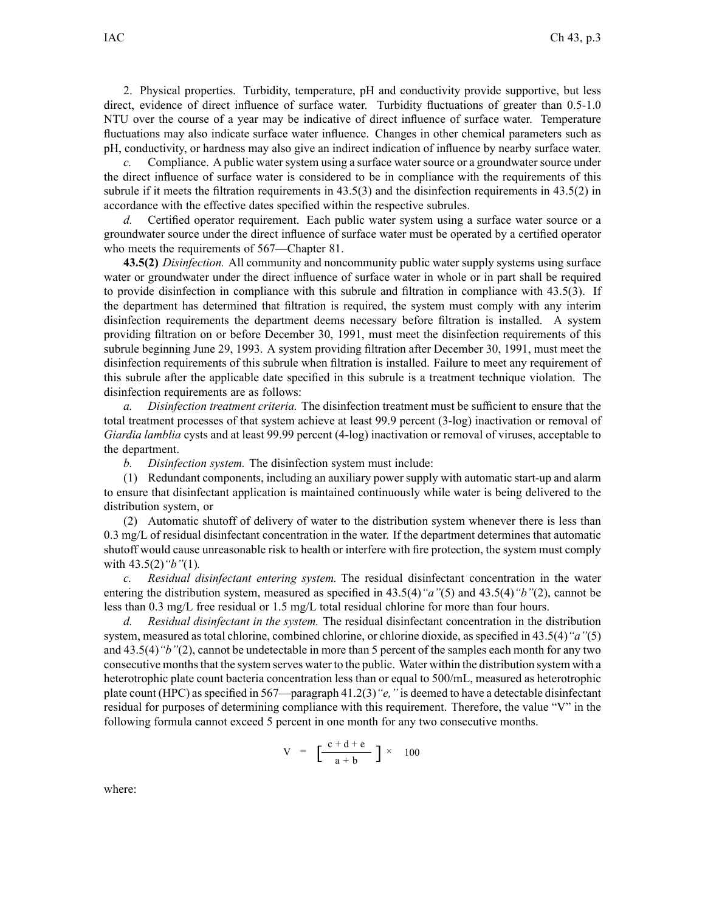2. Physical properties. Turbidity, temperature, pH and conductivity provide supportive, but less direct, evidence of direct influence of surface water. Turbidity fluctuations of greater than 0.5-1.0 NTU over the course of <sup>a</sup> year may be indicative of direct influence of surface water. Temperature fluctuations may also indicate surface water influence. Changes in other chemical parameters such as pH, conductivity, or hardness may also give an indirect indication of influence by nearby surface water.

*c.* Compliance. A public water system using a surface water source or a groundwater source under the direct influence of surface water is considered to be in compliance with the requirements of this subrule if it meets the filtration requirements in 43.5(3) and the disinfection requirements in 43.5(2) in accordance with the effective dates specified within the respective subrules.

*d.* Certified operator requirement. Each public water system using <sup>a</sup> surface water source or <sup>a</sup> groundwater source under the direct influence of surface water must be operated by <sup>a</sup> certified operator who meets the requirements of 567—Chapter 81.

**43.5(2)** *Disinfection.* All community and noncommunity public water supply systems using surface water or groundwater under the direct influence of surface water in whole or in par<sup>t</sup> shall be required to provide disinfection in compliance with this subrule and filtration in compliance with 43.5(3). If the department has determined that filtration is required, the system must comply with any interim disinfection requirements the department deems necessary before filtration is installed. A system providing filtration on or before December 30, 1991, must meet the disinfection requirements of this subrule beginning June 29, 1993. A system providing filtration after December 30, 1991, must meet the disinfection requirements of this subrule when filtration is installed. Failure to meet any requirement of this subrule after the applicable date specified in this subrule is <sup>a</sup> treatment technique violation. The disinfection requirements are as follows:

*a. Disinfection treatment criteria.* The disinfection treatment must be sufficient to ensure that the total treatment processes of that system achieve at least 99.9 percen<sup>t</sup> (3-log) inactivation or removal of *Giardia lamblia* cysts and at least 99.99 percen<sup>t</sup> (4-log) inactivation or removal of viruses, acceptable to the department.

*b. Disinfection system.* The disinfection system must include:

(1) Redundant components, including an auxiliary power supply with automatic start-up and alarm to ensure that disinfectant application is maintained continuously while water is being delivered to the distribution system, or

(2) Automatic shutoff of delivery of water to the distribution system whenever there is less than 0.3 mg/L of residual disinfectant concentration in the water. If the department determines that automatic shutoff would cause unreasonable risk to health or interfere with fire protection, the system must comply with 43.5(2)*"b"*(1)*.*

*c. Residual disinfectant entering system.* The residual disinfectant concentration in the water entering the distribution system, measured as specified in 43.5(4)*"a"*(5) and 43.5(4)*"b"*(2), cannot be less than 0.3 mg/L free residual or 1.5 mg/L total residual chlorine for more than four hours.

*d. Residual disinfectant in the system.* The residual disinfectant concentration in the distribution system, measured as total chlorine, combined chlorine, or chlorine dioxide, as specified in 43.5(4)*"a"*(5) and 43.5(4)*"b"*(2), cannot be undetectable in more than 5 percen<sup>t</sup> of the samples each month for any two consecutive months that the system serves water to the public. Water within the distribution system with a heterotrophic plate count bacteria concentration less than or equal to 500/mL, measured as heterotrophic plate count (HPC) as specified in 567—paragraph 41.2(3) "e," is deemed to have a detectable disinfectant residual for purposes of determining compliance with this requirement. Therefore, the value "V" in the following formula cannot exceed 5 percen<sup>t</sup> in one month for any two consecutive months.

$$
V = \left[\frac{c+d+e}{a+b}\right] \times 100
$$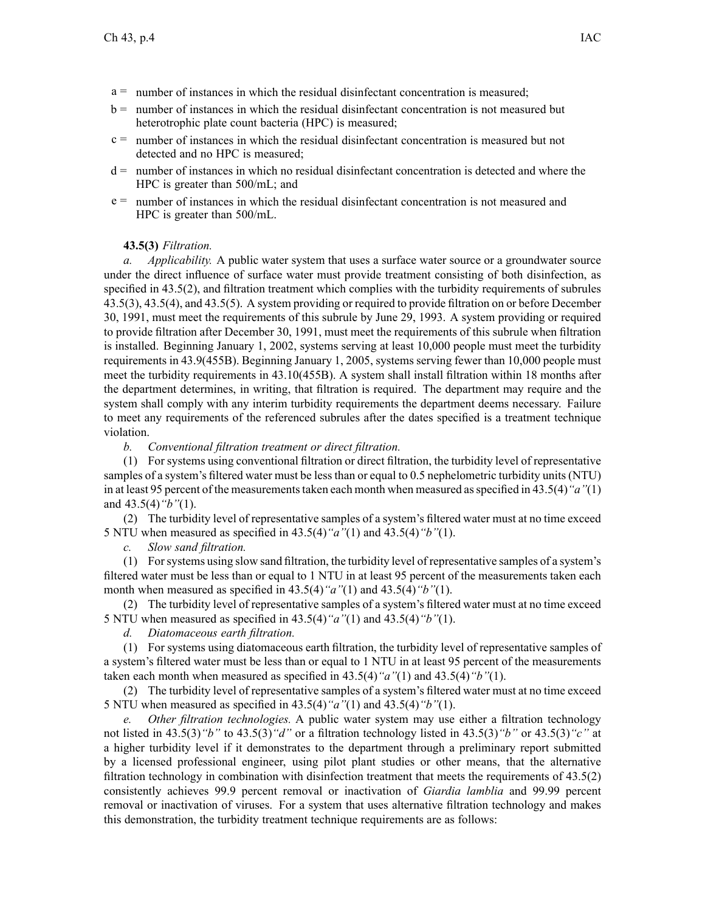- $a =$  number of instances in which the residual disinfectant concentration is measured;
- b <sup>=</sup> number of instances in which the residual disinfectant concentration is not measured but heterotrophic plate count bacteria (HPC) is measured;
- $c =$  number of instances in which the residual disinfectant concentration is measured but not detected and no HPC is measured;
- d <sup>=</sup> number of instances in which no residual disinfectant concentration is detected and where the HPC is greater than 500/mL; and
- <sup>e</sup> <sup>=</sup> number of instances in which the residual disinfectant concentration is not measured and HPC is greater than 500/mL.

## **43.5(3)** *Filtration.*

*a. Applicability.* A public water system that uses <sup>a</sup> surface water source or <sup>a</sup> groundwater source under the direct influence of surface water must provide treatment consisting of both disinfection, as specified in 43.5(2), and filtration treatment which complies with the turbidity requirements of subrules 43.5(3), 43.5(4), and 43.5(5). A system providing or required to provide filtration on or before December 30, 1991, must meet the requirements of this subrule by June 29, 1993. A system providing or required to provide filtration after December 30, 1991, must meet the requirements of this subrule when filtration is installed. Beginning January 1, 2002, systems serving at least 10,000 people must meet the turbidity requirements in 43.9(455B). Beginning January 1, 2005, systems serving fewer than 10,000 people must meet the turbidity requirements in 43.10(455B). A system shall install filtration within 18 months after the department determines, in writing, that filtration is required. The department may require and the system shall comply with any interim turbidity requirements the department deems necessary. Failure to meet any requirements of the referenced subrules after the dates specified is <sup>a</sup> treatment technique violation.

*b. Conventional filtration treatment or direct filtration.*

(1) For systems using conventional filtration or direct filtration, the turbidity level of representative samples of <sup>a</sup> system's filtered water must be less than or equal to 0.5 nephelometric turbidity units (NTU) in at least 95 percen<sup>t</sup> of the measurementstaken each month when measured asspecified in 43.5(4)*"a"*(1) and 43.5(4)*"b"*(1).

(2) The turbidity level of representative samples of <sup>a</sup> system's filtered water must at no time exceed 5 NTU when measured as specified in 43.5(4)*"a"*(1) and 43.5(4)*"b"*(1).

*c. Slow sand filtration.*

(1) Forsystems using slow sand filtration, the turbidity level of representative samples of <sup>a</sup> system's filtered water must be less than or equal to 1 NTU in at least 95 percen<sup>t</sup> of the measurements taken each month when measured as specified in 43.5(4)*"a"*(1) and 43.5(4)*"b"*(1).

(2) The turbidity level of representative samples of <sup>a</sup> system's filtered water must at no time exceed 5 NTU when measured as specified in 43.5(4)*"a"*(1) and 43.5(4)*"b"*(1).

*d. Diatomaceous earth filtration.*

(1) For systems using diatomaceous earth filtration, the turbidity level of representative samples of <sup>a</sup> system's filtered water must be less than or equal to 1 NTU in at least 95 percen<sup>t</sup> of the measurements taken each month when measured as specified in 43.5(4)*"a"*(1) and 43.5(4)*"b"*(1).

(2) The turbidity level of representative samples of <sup>a</sup> system's filtered water must at no time exceed 5 NTU when measured as specified in 43.5(4)*"a"*(1) and 43.5(4)*"b"*(1).

*e. Other filtration technologies.* A public water system may use either <sup>a</sup> filtration technology not listed in 43.5(3)*"b"* to 43.5(3)*"d"* or <sup>a</sup> filtration technology listed in 43.5(3)*"b"* or 43.5(3)*"c"* at <sup>a</sup> higher turbidity level if it demonstrates to the department through <sup>a</sup> preliminary repor<sup>t</sup> submitted by <sup>a</sup> licensed professional engineer, using pilot plant studies or other means, that the alternative filtration technology in combination with disinfection treatment that meets the requirements of 43.5(2) consistently achieves 99.9 percen<sup>t</sup> removal or inactivation of *Giardia lamblia* and 99.99 percen<sup>t</sup> removal or inactivation of viruses. For <sup>a</sup> system that uses alternative filtration technology and makes this demonstration, the turbidity treatment technique requirements are as follows: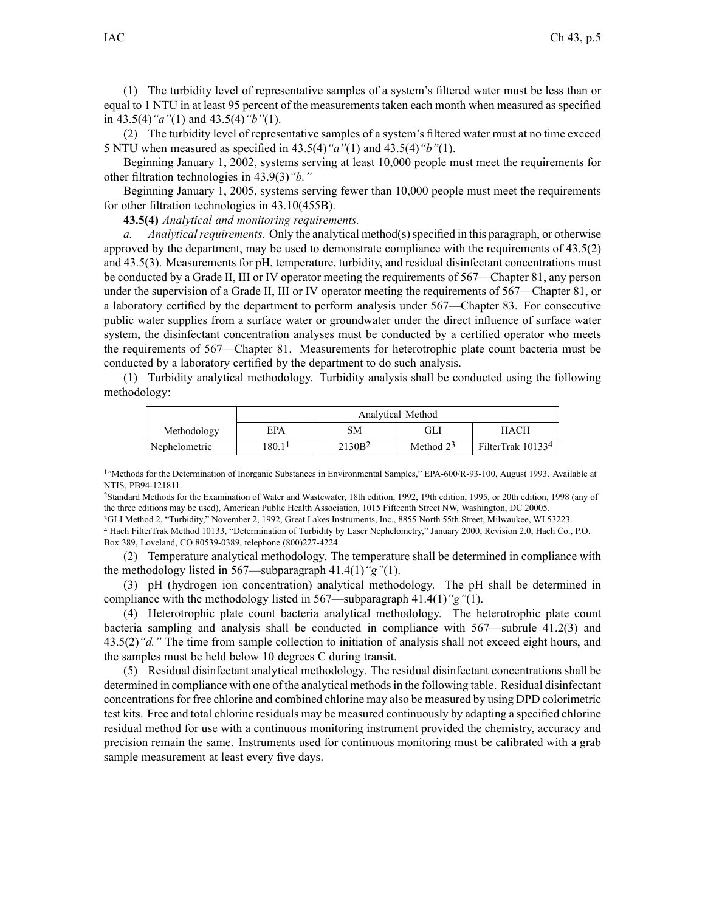(1) The turbidity level of representative samples of <sup>a</sup> system's filtered water must be less than or equal to 1 NTU in at least 95 percen<sup>t</sup> of the measurements taken each month when measured as specified in 43.5(4)*"a"*(1) and 43.5(4)*"b"*(1).

(2) The turbidity level of representative samples of <sup>a</sup> system's filtered water must at no time exceed 5 NTU when measured as specified in 43.5(4)*"a"*(1) and 43.5(4)*"b"*(1).

Beginning January 1, 2002, systems serving at least 10,000 people must meet the requirements for other filtration technologies in 43.9(3)*"b."*

Beginning January 1, 2005, systems serving fewer than 10,000 people must meet the requirements for other filtration technologies in 43.10(455B).

**43.5(4)** *Analytical and monitoring requirements.*

*a. Analytical requirements.* Only the analytical method(s) specified in this paragraph, or otherwise approved by the department, may be used to demonstrate compliance with the requirements of 43.5(2) and 43.5(3). Measurements for pH, temperature, turbidity, and residual disinfectant concentrations must be conducted by <sup>a</sup> Grade II, III or IV operator meeting the requirements of 567—Chapter 81, any person under the supervision of <sup>a</sup> Grade II, III or IV operator meeting the requirements of 567—Chapter 81, or <sup>a</sup> laboratory certified by the department to perform analysis under 567—Chapter 83. For consecutive public water supplies from <sup>a</sup> surface water or groundwater under the direct influence of surface water system, the disinfectant concentration analyses must be conducted by <sup>a</sup> certified operator who meets the requirements of 567—Chapter 81. Measurements for heterotrophic plate count bacteria must be conducted by <sup>a</sup> laboratory certified by the department to do such analysis.

(1) Turbidity analytical methodology. Turbidity analysis shall be conducted using the following methodology:

|               | Analytical Method  |                    |             |                   |
|---------------|--------------------|--------------------|-------------|-------------------|
| Methodology   | EPA                | SМ                 | GLI         | НАСН              |
| Nephelometric | 180.1 <sup>1</sup> | 2130B <sup>2</sup> | Method $23$ | FilterTrak 101334 |

<sup>1</sup> Methods for the Determination of Inorganic Substances in Environmental Samples," EPA-600/R-93-100, August 1993. Available at NTIS, PB94-121811.

<sup>2</sup>Standard Methods for the Examination of Water and Wastewater, 18th edition, 1992, 19th edition, 1995, or 20th edition, 1998 (any of the three editions may be used), American Public Health Association, 1015 Fifteenth Street NW, Washington, DC 20005.

<sup>3</sup>GLI Method 2, "Turbidity," November 2, 1992, Great Lakes Instruments, Inc., 8855 North 55th Street, Milwaukee, WI 53223. <sup>4</sup> Hach FilterTrak Method 10133, "Determination of Turbidity by Laser Nephelometry," January 2000, Revision 2.0, Hach Co., P.O.

Box 389, Loveland, CO 80539-0389, telephone (800)227-4224.

(2) Temperature analytical methodology. The temperature shall be determined in compliance with the methodology listed in 567—subparagraph 41.4(1)*"g"*(1).

(3) pH (hydrogen ion concentration) analytical methodology. The pH shall be determined in compliance with the methodology listed in 567—subparagraph 41.4(1)*"g"*(1).

(4) Heterotrophic plate count bacteria analytical methodology. The heterotrophic plate count bacteria sampling and analysis shall be conducted in compliance with 567—subrule 41.2(3) and 43.5(2)*"d."* The time from sample collection to initiation of analysis shall not exceed eight hours, and the samples must be held below 10 degrees C during transit.

(5) Residual disinfectant analytical methodology. The residual disinfectant concentrations shall be determined in compliance with one of the analytical methodsin the following table. Residual disinfectant concentrationsfor free chlorine and combined chlorine may also be measured by using DPD colorimetric test kits. Free and total chlorine residuals may be measured continuously by adapting <sup>a</sup> specified chlorine residual method for use with <sup>a</sup> continuous monitoring instrument provided the chemistry, accuracy and precision remain the same. Instruments used for continuous monitoring must be calibrated with <sup>a</sup> grab sample measurement at least every five days.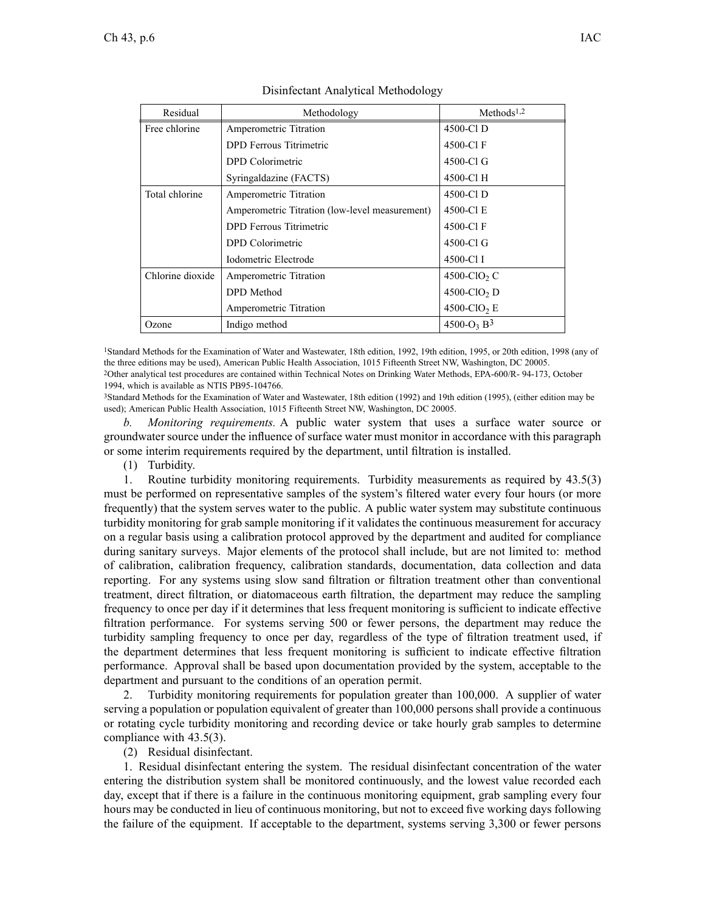| Residual         | Methodology                                    | Methods <sup>1,2</sup>             |
|------------------|------------------------------------------------|------------------------------------|
| Free chlorine    | Amperometric Titration                         | 4500-Cl D                          |
|                  | DPD Ferrous Titrimetric                        | 4500-Cl F                          |
|                  | DPD Colorimetric                               | 4500-Cl G                          |
|                  | Syringaldazine (FACTS)                         | 4500-Cl H                          |
| Total chlorine   | Amperometric Titration                         | 4500-Cl D                          |
|                  | Amperometric Titration (low-level measurement) | 4500-Cl E                          |
|                  | DPD Ferrous Titrimetric                        | 4500-Cl F                          |
|                  | DPD Colorimetric                               | 4500-Cl G                          |
|                  | Iodometric Electrode                           | 4500-Cl I                          |
| Chlorine dioxide | Amperometric Titration                         | 4500-ClO <sub>2</sub> C            |
|                  | DPD Method                                     | $4500$ -ClO <sub>2</sub> D         |
|                  | Amperometric Titration                         | $4500$ -ClO <sub>2</sub> E         |
| Ozone            | Indigo method                                  | 4500-O <sub>3</sub> B <sup>3</sup> |

## Disinfectant Analytical Methodology

<sup>1</sup>Standard Methods for the Examination of Water and Wastewater, 18th edition, 1992, 19th edition, 1995, or 20th edition, 1998 (any of the three editions may be used), American Public Health Association, 1015 Fifteenth Street NW, Washington, DC 20005. <sup>2</sup>Other analytical test procedures are contained within Technical Notes on Drinking Water Methods, EPA-600/R- 94-173, October 1994, which is available as NTIS PB95-104766.

<sup>3</sup>Standard Methods for the Examination of Water and Wastewater, 18th edition (1992) and 19th edition (1995), (either edition may be used); American Public Health Association, 1015 Fifteenth Street NW, Washington, DC 20005.

*b. Monitoring requirements.* A public water system that uses <sup>a</sup> surface water source or groundwater source under the influence of surface water must monitor in accordance with this paragraph or some interim requirements required by the department, until filtration is installed.

(1) Turbidity.

1. Routine turbidity monitoring requirements. Turbidity measurements as required by 43.5(3) must be performed on representative samples of the system's filtered water every four hours (or more frequently) that the system serves water to the public. A public water system may substitute continuous turbidity monitoring for grab sample monitoring if it validates the continuous measurement for accuracy on <sup>a</sup> regular basis using <sup>a</sup> calibration protocol approved by the department and audited for compliance during sanitary surveys. Major elements of the protocol shall include, but are not limited to: method of calibration, calibration frequency, calibration standards, documentation, data collection and data reporting. For any systems using slow sand filtration or filtration treatment other than conventional treatment, direct filtration, or diatomaceous earth filtration, the department may reduce the sampling frequency to once per day if it determines that less frequent monitoring is sufficient to indicate effective filtration performance. For systems serving 500 or fewer persons, the department may reduce the turbidity sampling frequency to once per day, regardless of the type of filtration treatment used, if the department determines that less frequent monitoring is sufficient to indicate effective filtration performance. Approval shall be based upon documentation provided by the system, acceptable to the department and pursuan<sup>t</sup> to the conditions of an operation permit.

2. Turbidity monitoring requirements for population greater than 100,000. A supplier of water serving <sup>a</sup> population or population equivalent of greater than 100,000 persons shall provide <sup>a</sup> continuous or rotating cycle turbidity monitoring and recording device or take hourly grab samples to determine compliance with 43.5(3).

(2) Residual disinfectant.

1. Residual disinfectant entering the system. The residual disinfectant concentration of the water entering the distribution system shall be monitored continuously, and the lowest value recorded each day, excep<sup>t</sup> that if there is <sup>a</sup> failure in the continuous monitoring equipment, grab sampling every four hours may be conducted in lieu of continuous monitoring, but not to exceed five working days following the failure of the equipment. If acceptable to the department, systems serving 3,300 or fewer persons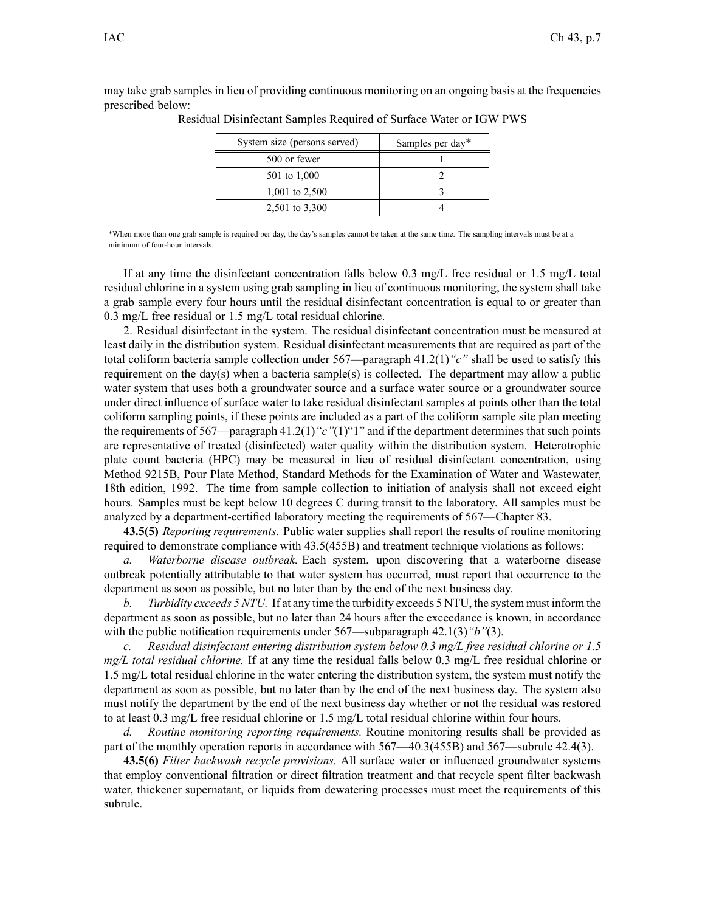may take grab samples in lieu of providing continuous monitoring on an ongoing basis at the frequencies prescribed below:

| System size (persons served) | Samples per day* |  |
|------------------------------|------------------|--|
| 500 or fewer                 |                  |  |
| 501 to 1,000                 |                  |  |
| 1,001 to 2,500               |                  |  |
| 2,501 to 3,300               |                  |  |

Residual Disinfectant Samples Required of Surface Water or IGW PWS

\*When more than one grab sample is required per day, the day's samples cannot be taken at the same time. The sampling intervals must be at <sup>a</sup> minimum of four-hour intervals.

If at any time the disinfectant concentration falls below 0.3 mg/L free residual or 1.5 mg/L total residual chlorine in <sup>a</sup> system using grab sampling in lieu of continuous monitoring, the system shall take <sup>a</sup> grab sample every four hours until the residual disinfectant concentration is equal to or greater than 0.3 mg/L free residual or 1.5 mg/L total residual chlorine.

2. Residual disinfectant in the system. The residual disinfectant concentration must be measured at least daily in the distribution system. Residual disinfectant measurements that are required as par<sup>t</sup> of the total coliform bacteria sample collection under 567—paragraph 41.2(1)*"c"* shall be used to satisfy this requirement on the day(s) when <sup>a</sup> bacteria sample(s) is collected. The department may allow <sup>a</sup> public water system that uses both a groundwater source and a surface water source or a groundwater source under direct influence of surface water to take residual disinfectant samples at points other than the total coliform sampling points, if these points are included as <sup>a</sup> par<sup>t</sup> of the coliform sample site plan meeting the requirements of 567—paragraph 41.2(1)*"c"*(1)"1" and if the department determines that such points are representative of treated (disinfected) water quality within the distribution system. Heterotrophic plate count bacteria (HPC) may be measured in lieu of residual disinfectant concentration, using Method 9215B, Pour Plate Method, Standard Methods for the Examination of Water and Wastewater, 18th edition, 1992. The time from sample collection to initiation of analysis shall not exceed eight hours. Samples must be kept below 10 degrees C during transit to the laboratory. All samples must be analyzed by <sup>a</sup> department-certified laboratory meeting the requirements of 567—Chapter 83.

**43.5(5)** *Reporting requirements.* Public water supplies shall repor<sup>t</sup> the results of routine monitoring required to demonstrate compliance with 43.5(455B) and treatment technique violations as follows:

*a. Waterborne disease outbreak.* Each system, upon discovering that <sup>a</sup> waterborne disease outbreak potentially attributable to that water system has occurred, must repor<sup>t</sup> that occurrence to the department as soon as possible, but no later than by the end of the next business day.

*b. Turbidity exceeds 5 NTU.* If at any time the turbidity exceeds 5 NTU, the system must inform the department as soon as possible, but no later than 24 hours after the exceedance is known, in accordance with the public notification requirements under 567—subparagraph 42.1(3)*"b"*(3).

*c. Residual disinfectant entering distribution system below 0.3 mg/L free residual chlorine or 1.5 mg/L total residual chlorine.* If at any time the residual falls below 0.3 mg/L free residual chlorine or 1.5 mg/L total residual chlorine in the water entering the distribution system, the system must notify the department as soon as possible, but no later than by the end of the next business day. The system also must notify the department by the end of the next business day whether or not the residual was restored to at least 0.3 mg/L free residual chlorine or 1.5 mg/L total residual chlorine within four hours.

*d. Routine monitoring reporting requirements.* Routine monitoring results shall be provided as par<sup>t</sup> of the monthly operation reports in accordance with 567—40.3(455B) and 567—subrule 42.4(3).

**43.5(6)** *Filter backwash recycle provisions.* All surface water or influenced groundwater systems that employ conventional filtration or direct filtration treatment and that recycle spen<sup>t</sup> filter backwash water, thickener supernatant, or liquids from dewatering processes must meet the requirements of this subrule.